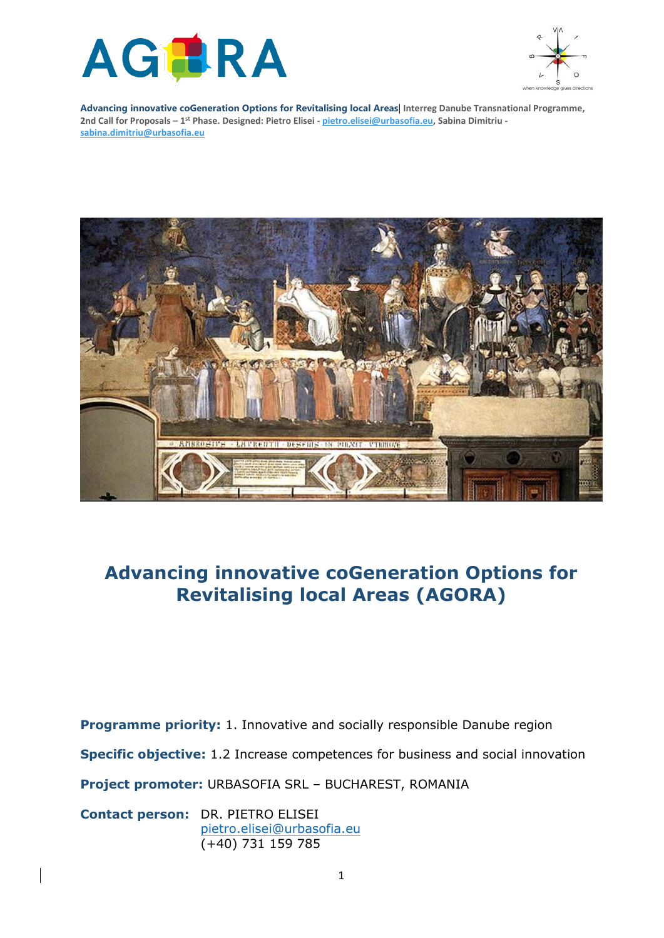





# **Advancing innovative coGeneration Options for Revitalising local Areas (AGORA)**

**Programme priority:** 1. Innovative and socially responsible Danube region **Specific objective:** 1.2 Increase competences for business and social innovation **Project promoter:** URBASOFIA SRL – BUCHAREST, ROMANIA **Contact person:** DR. PIETRO ELISEI

[pietro.elisei@urbasofia.eu](mailto:pietro.elisei@urbasofia.eu) (+40) 731 159 785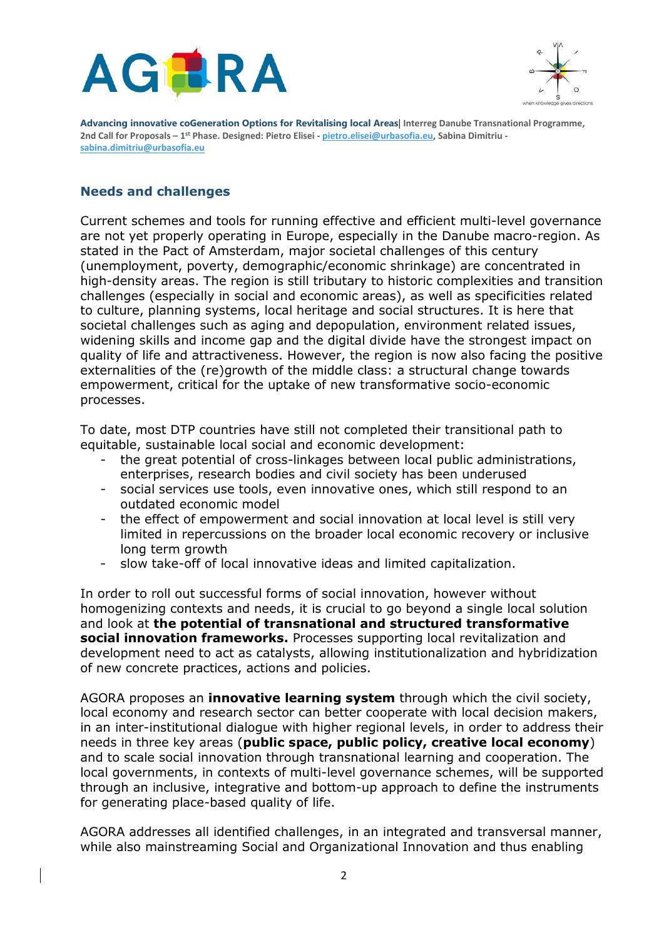



## **Needs and challenges**

Current schemes and tools for running effective and efficient multi-level governance are not yet properly operating in Europe, especially in the Danube macro-region. As stated in the Pact of Amsterdam, major societal challenges of this century (unemployment, poverty, demographic/economic shrinkage) are concentrated in high-density areas. The region is still tributary to historic complexities and transition challenges (especially in social and economic areas), as well as specificities related to culture, planning systems, local heritage and social structures. It is here that societal challenges such as aging and depopulation, environment related issues, widening skills and income gap and the digital divide have the strongest impact on quality of life and attractiveness. However, the region is now also facing the positive externalities of the (re)growth of the middle class: a structural change towards empowerment, critical for the uptake of new transformative socio-economic processes.

To date, most DTP countries have still not completed their transitional path to equitable, sustainable local social and economic development:

- the great potential of cross-linkages between local public administrations, enterprises, research bodies and civil society has been underused
- social services use tools, even innovative ones, which still respond to an outdated economic model
- the effect of empowerment and social innovation at local level is still very limited in repercussions on the broader local economic recovery or inclusive long term growth
- slow take-off of local innovative ideas and limited capitalization.

In order to roll out successful forms of social innovation, however without homogenizing contexts and needs, it is crucial to go beyond a single local solution and look at **the potential of transnational and structured transformative social innovation frameworks.** Processes supporting local revitalization and development need to act as catalysts, allowing institutionalization and hybridization of new concrete practices, actions and policies.

AGORA proposes an **innovative learning system** through which the civil society, local economy and research sector can better cooperate with local decision makers, in an inter-institutional dialogue with higher regional levels, in order to address their needs in three key areas (**public space, public policy, creative local economy**) and to scale social innovation through transnational learning and cooperation. The local governments, in contexts of multi-level governance schemes, will be supported through an inclusive, integrative and bottom-up approach to define the instruments for generating place-based quality of life.

AGORA addresses all identified challenges, in an integrated and transversal manner, while also mainstreaming Social and Organizational Innovation and thus enabling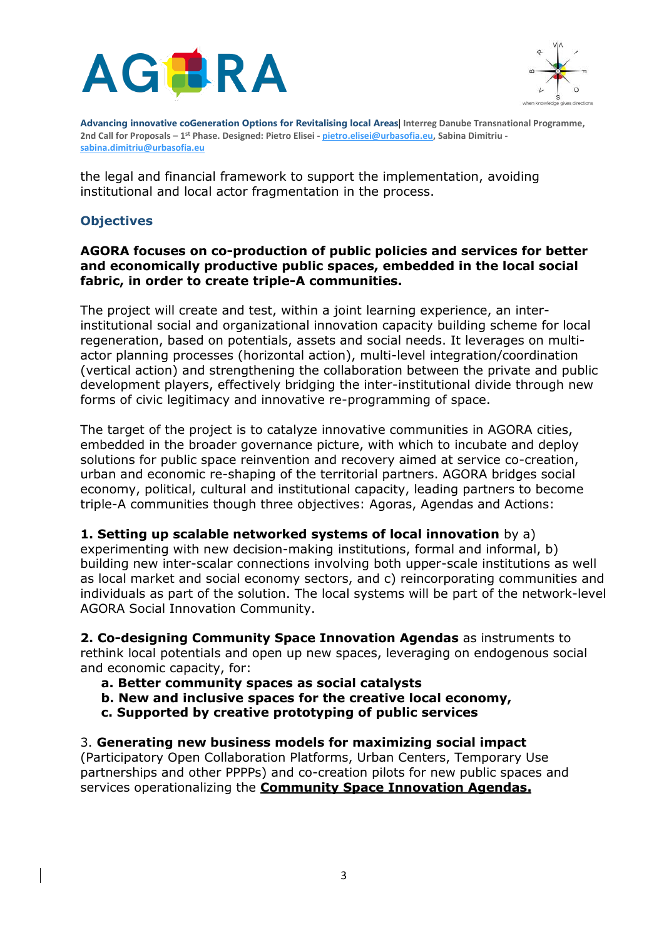



the legal and financial framework to support the implementation, avoiding institutional and local actor fragmentation in the process.

## **Objectives**

### **AGORA focuses on co-production of public policies and services for better and economically productive public spaces, embedded in the local social fabric, in order to create triple-A communities.**

The project will create and test, within a joint learning experience, an interinstitutional social and organizational innovation capacity building scheme for local regeneration, based on potentials, assets and social needs. It leverages on multiactor planning processes (horizontal action), multi-level integration/coordination (vertical action) and strengthening the collaboration between the private and public development players, effectively bridging the inter-institutional divide through new forms of civic legitimacy and innovative re-programming of space.

The target of the project is to catalyze innovative communities in AGORA cities, embedded in the broader governance picture, with which to incubate and deploy solutions for public space reinvention and recovery aimed at service co-creation, urban and economic re-shaping of the territorial partners. AGORA bridges social economy, political, cultural and institutional capacity, leading partners to become triple-A communities though three objectives: Agoras, Agendas and Actions:

**1. Setting up scalable networked systems of local innovation** by a)

experimenting with new decision-making institutions, formal and informal, b) building new inter-scalar connections involving both upper-scale institutions as well as local market and social economy sectors, and c) reincorporating communities and individuals as part of the solution. The local systems will be part of the network-level AGORA Social Innovation Community.

**2. Co-designing Community Space Innovation Agendas** as instruments to rethink local potentials and open up new spaces, leveraging on endogenous social and economic capacity, for:

- **a. Better community spaces as social catalysts**
- **b. New and inclusive spaces for the creative local economy,**
- **c. Supported by creative prototyping of public services**

3. **Generating new business models for maximizing social impact** (Participatory Open Collaboration Platforms, Urban Centers, Temporary Use partnerships and other PPPPs) and co-creation pilots for new public spaces and services operationalizing the **Community Space Innovation Agendas.**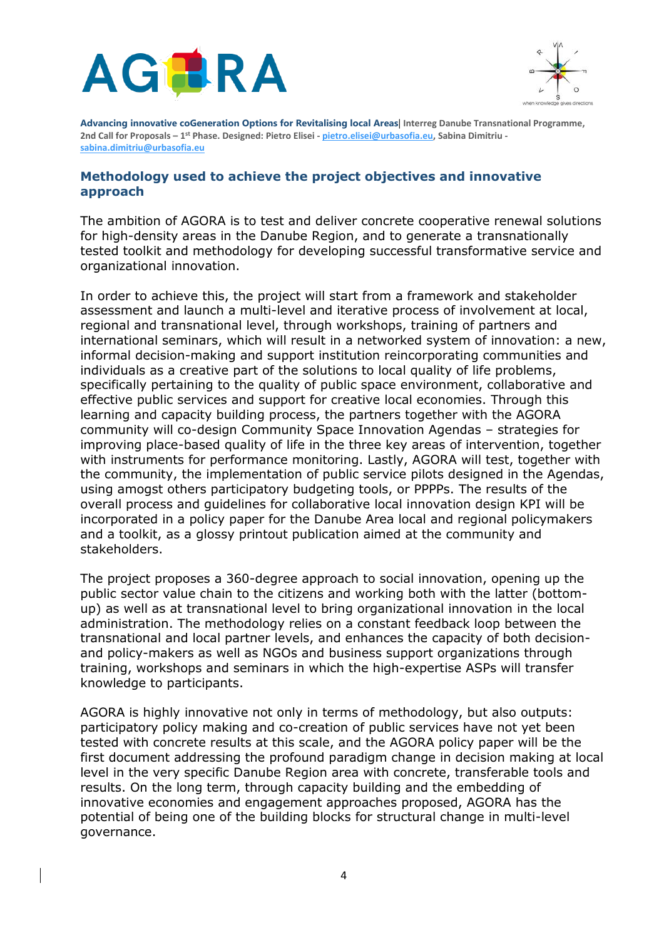



## **Methodology used to achieve the project objectives and innovative approach**

The ambition of AGORA is to test and deliver concrete cooperative renewal solutions for high-density areas in the Danube Region, and to generate a transnationally tested toolkit and methodology for developing successful transformative service and organizational innovation.

In order to achieve this, the project will start from a framework and stakeholder assessment and launch a multi-level and iterative process of involvement at local, regional and transnational level, through workshops, training of partners and international seminars, which will result in a networked system of innovation: a new, informal decision-making and support institution reincorporating communities and individuals as a creative part of the solutions to local quality of life problems, specifically pertaining to the quality of public space environment, collaborative and effective public services and support for creative local economies. Through this learning and capacity building process, the partners together with the AGORA community will co-design Community Space Innovation Agendas – strategies for improving place-based quality of life in the three key areas of intervention, together with instruments for performance monitoring. Lastly, AGORA will test, together with the community, the implementation of public service pilots designed in the Agendas, using amogst others participatory budgeting tools, or PPPPs. The results of the overall process and guidelines for collaborative local innovation design KPI will be incorporated in a policy paper for the Danube Area local and regional policymakers and a toolkit, as a glossy printout publication aimed at the community and stakeholders.

The project proposes a 360-degree approach to social innovation, opening up the public sector value chain to the citizens and working both with the latter (bottomup) as well as at transnational level to bring organizational innovation in the local administration. The methodology relies on a constant feedback loop between the transnational and local partner levels, and enhances the capacity of both decisionand policy-makers as well as NGOs and business support organizations through training, workshops and seminars in which the high-expertise ASPs will transfer knowledge to participants.

AGORA is highly innovative not only in terms of methodology, but also outputs: participatory policy making and co-creation of public services have not yet been tested with concrete results at this scale, and the AGORA policy paper will be the first document addressing the profound paradigm change in decision making at local level in the very specific Danube Region area with concrete, transferable tools and results. On the long term, through capacity building and the embedding of innovative economies and engagement approaches proposed, AGORA has the potential of being one of the building blocks for structural change in multi-level governance.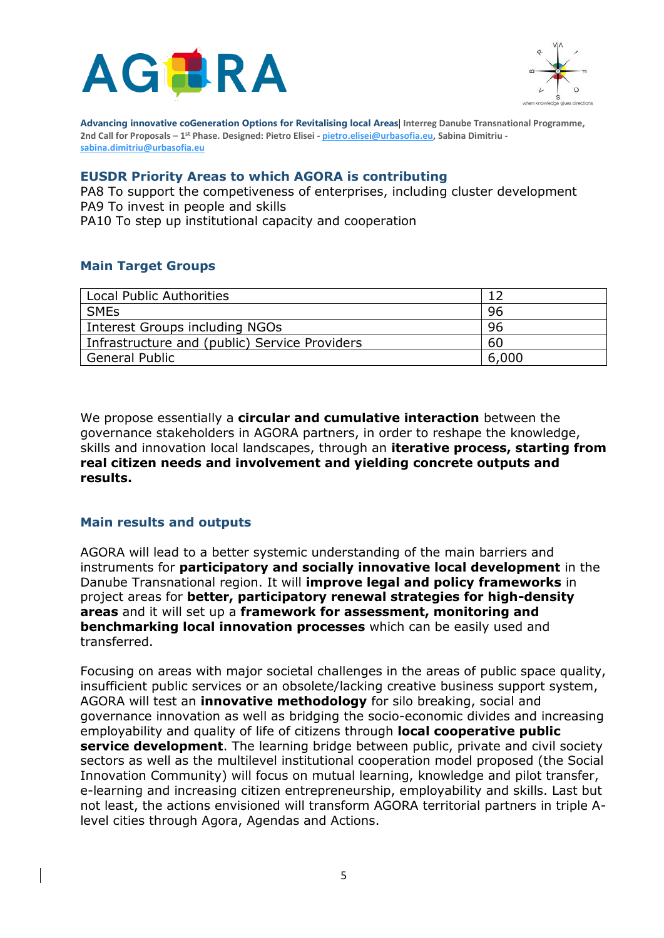



### **EUSDR Priority Areas to which AGORA is contributing**

PA8 To support the competiveness of enterprises, including cluster development PA9 To invest in people and skills PA10 To step up institutional capacity and cooperation

## **Main Target Groups**

| Local Public Authorities                      | 12    |
|-----------------------------------------------|-------|
| <b>SMEs</b>                                   | -96   |
| Interest Groups including NGOs                | -96   |
| Infrastructure and (public) Service Providers | 60    |
| <b>General Public</b>                         | 6,000 |

We propose essentially a **circular and cumulative interaction** between the governance stakeholders in AGORA partners, in order to reshape the knowledge, skills and innovation local landscapes, through an **iterative process, starting from real citizen needs and involvement and yielding concrete outputs and results.** 

## **Main results and outputs**

AGORA will lead to a better systemic understanding of the main barriers and instruments for **participatory and socially innovative local development** in the Danube Transnational region. It will **improve legal and policy frameworks** in project areas for **better, participatory renewal strategies for high-density areas** and it will set up a **framework for assessment, monitoring and benchmarking local innovation processes** which can be easily used and transferred.

Focusing on areas with major societal challenges in the areas of public space quality, insufficient public services or an obsolete/lacking creative business support system, AGORA will test an **innovative methodology** for silo breaking, social and governance innovation as well as bridging the socio-economic divides and increasing employability and quality of life of citizens through **local cooperative public service development**. The learning bridge between public, private and civil society sectors as well as the multilevel institutional cooperation model proposed (the Social Innovation Community) will focus on mutual learning, knowledge and pilot transfer, e-learning and increasing citizen entrepreneurship, employability and skills. Last but not least, the actions envisioned will transform AGORA territorial partners in triple Alevel cities through Agora, Agendas and Actions.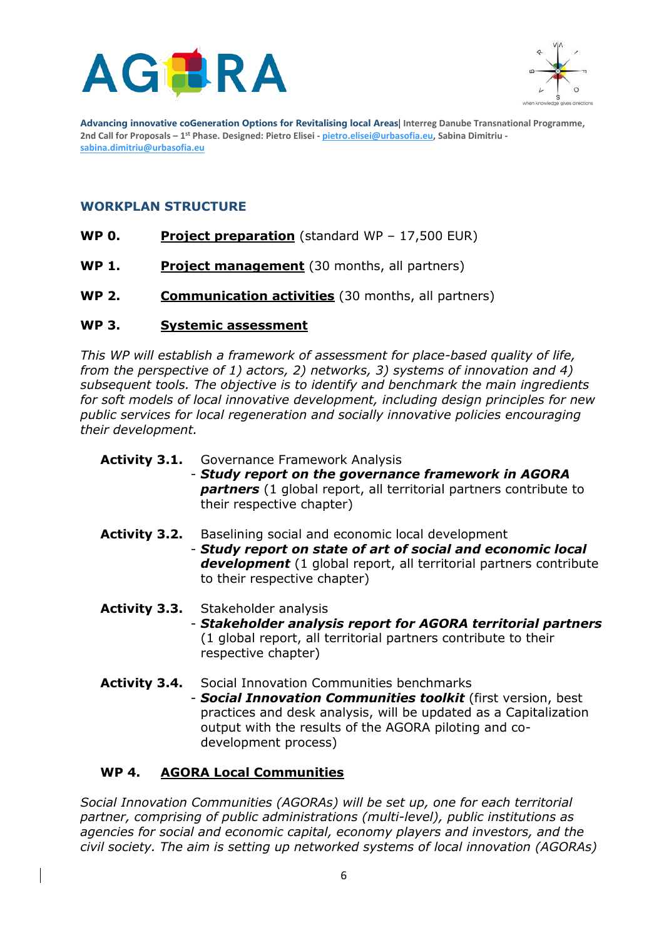



## **WORKPLAN STRUCTURE**

- **WP 0. Project preparation** (standard WP 17,500 EUR)
- **WP 1. Project management** (30 months, all partners)
- **WP 2. Communication activities** (30 months, all partners)

#### **WP 3. Systemic assessment**

*This WP will establish a framework of assessment for place-based quality of life, from the perspective of 1) actors, 2) networks, 3) systems of innovation and 4) subsequent tools. The objective is to identify and benchmark the main ingredients for soft models of local innovative development, including design principles for new public services for local regeneration and socially innovative policies encouraging their development.*

#### **Activity 3.1.** Governance Framework Analysis

- *Study report on the governance framework in AGORA partners* (1 global report, all territorial partners contribute to their respective chapter)

#### **Activity 3.2.** Baselining social and economic local development

- *Study report on state of art of social and economic local development* (1 global report, all territorial partners contribute to their respective chapter)
- **Activity 3.3.** Stakeholder analysis - *Stakeholder analysis report for AGORA territorial partners* (1 global report, all territorial partners contribute to their respective chapter)
- **Activity 3.4.** Social Innovation Communities benchmarks - *Social Innovation Communities toolkit* (first version, best practices and desk analysis, will be updated as a Capitalization output with the results of the AGORA piloting and codevelopment process)

## **WP 4. AGORA Local Communities**

*Social Innovation Communities (AGORAs) will be set up, one for each territorial partner, comprising of public administrations (multi-level), public institutions as agencies for social and economic capital, economy players and investors, and the civil society. The aim is setting up networked systems of local innovation (AGORAs)*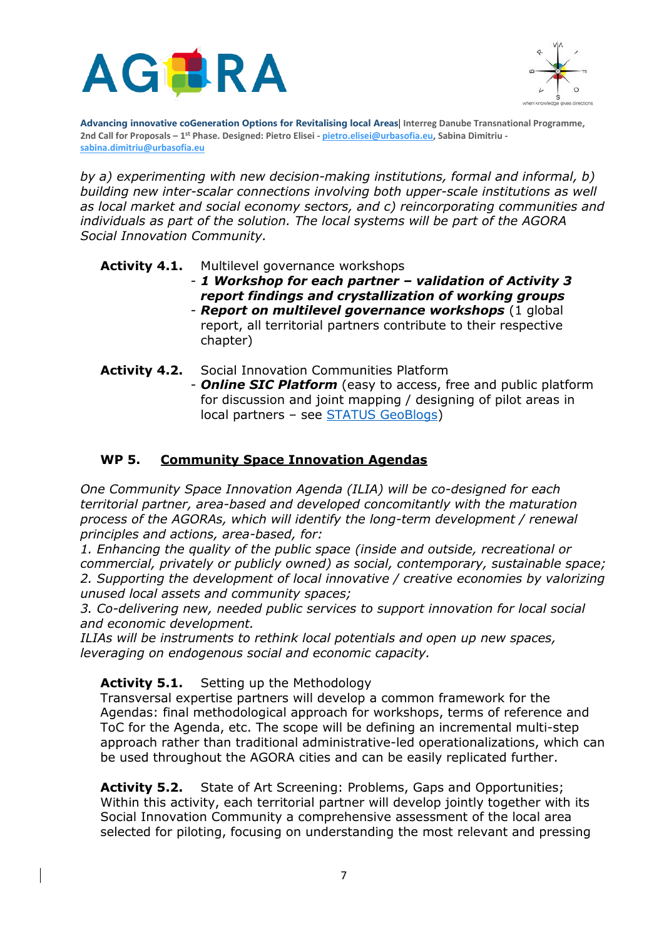



*by a) experimenting with new decision-making institutions, formal and informal, b) building new inter-scalar connections involving both upper-scale institutions as well as local market and social economy sectors, and c) reincorporating communities and individuals as part of the solution. The local systems will be part of the AGORA Social Innovation Community.*

### Activity 4.1. Multilevel governance workshops

- *1 Workshop for each partner – validation of Activity 3 report findings and crystallization of working groups* - *Report on multilevel governance workshops* (1 global report, all territorial partners contribute to their respective chapter)
- **Activity 4.2.** Social Innovation Communities Platform - *Online SIC Platform* (easy to access, free and public platform for discussion and joint mapping / designing of pilot areas in local partners – see [STATUS GeoBlogs\)](http://seecityplatform.net/geoblogs/albaiuliamap)

## **WP 5. Community Space Innovation Agendas**

*One Community Space Innovation Agenda (ILIA) will be co-designed for each territorial partner, area-based and developed concomitantly with the maturation process of the AGORAs, which will identify the long-term development / renewal principles and actions, area-based, for:* 

*1. Enhancing the quality of the public space (inside and outside, recreational or commercial, privately or publicly owned) as social, contemporary, sustainable space; 2. Supporting the development of local innovative / creative economies by valorizing unused local assets and community spaces;* 

*3. Co-delivering new, needed public services to support innovation for local social and economic development.* 

*ILIAs will be instruments to rethink local potentials and open up new spaces, leveraging on endogenous social and economic capacity.*

## **Activity 5.1.** Setting up the Methodology

Transversal expertise partners will develop a common framework for the Agendas: final methodological approach for workshops, terms of reference and ToC for the Agenda, etc. The scope will be defining an incremental multi-step approach rather than traditional administrative-led operationalizations, which can be used throughout the AGORA cities and can be easily replicated further.

**Activity 5.2.** State of Art Screening: Problems, Gaps and Opportunities; Within this activity, each territorial partner will develop jointly together with its Social Innovation Community a comprehensive assessment of the local area selected for piloting, focusing on understanding the most relevant and pressing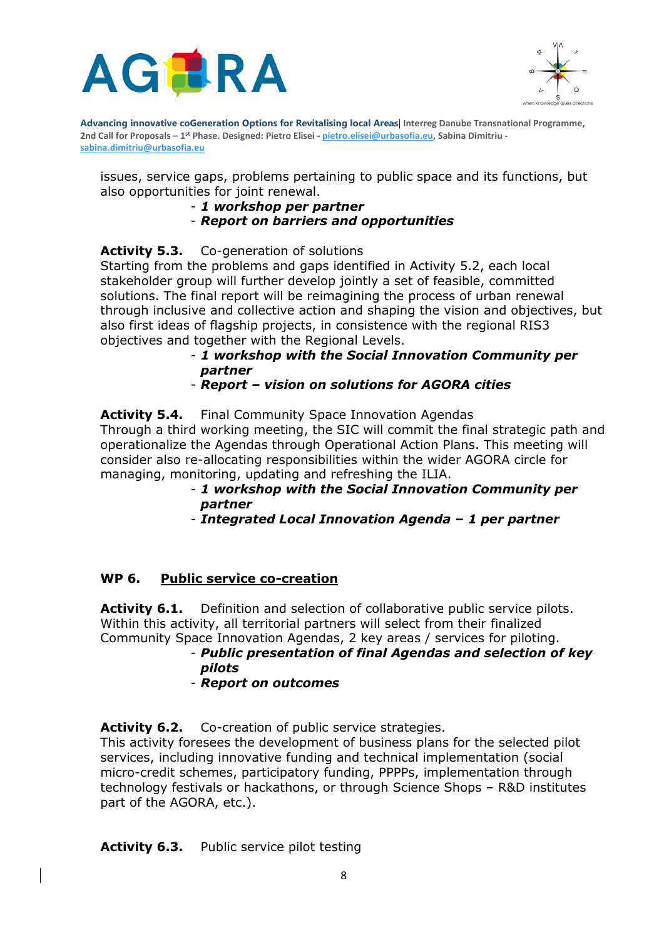



issues, service gaps, problems pertaining to public space and its functions, but also opportunities for joint renewal.

## - *1 workshop per partner* - *Report on barriers and opportunities*

**Activity 5.3.** Co-generation of solutions Starting from the problems and gaps identified in Activity 5.2, each local stakeholder group will further develop jointly a set of feasible, committed solutions. The final report will be reimagining the process of urban renewal through inclusive and collective action and shaping the vision and objectives, but also first ideas of flagship projects, in consistence with the regional RIS3 objectives and together with the Regional Levels.

- *1 workshop with the Social Innovation Community per partner*
- *Report – vision on solutions for AGORA cities*

**Activity 5.4.** Final Community Space Innovation Agendas Through a third working meeting, the SIC will commit the final strategic path and operationalize the Agendas through Operational Action Plans. This meeting will consider also re-allocating responsibilities within the wider AGORA circle for managing, monitoring, updating and refreshing the ILIA.

- *1 workshop with the Social Innovation Community per partner*
- *Integrated Local Innovation Agenda – 1 per partner*

## **WP 6. Public service co-creation**

**Activity 6.1.** Definition and selection of collaborative public service pilots. Within this activity, all territorial partners will select from their finalized Community Space Innovation Agendas, 2 key areas / services for piloting.

#### - *Public presentation of final Agendas and selection of key pilots*  - *Report on outcomes*

**Activity 6.2.** Co-creation of public service strategies.

This activity foresees the development of business plans for the selected pilot services, including innovative funding and technical implementation (social micro-credit schemes, participatory funding, PPPPs, implementation through technology festivals or hackathons, or through Science Shops – R&D institutes part of the AGORA, etc.).

**Activity 6.3.** Public service pilot testing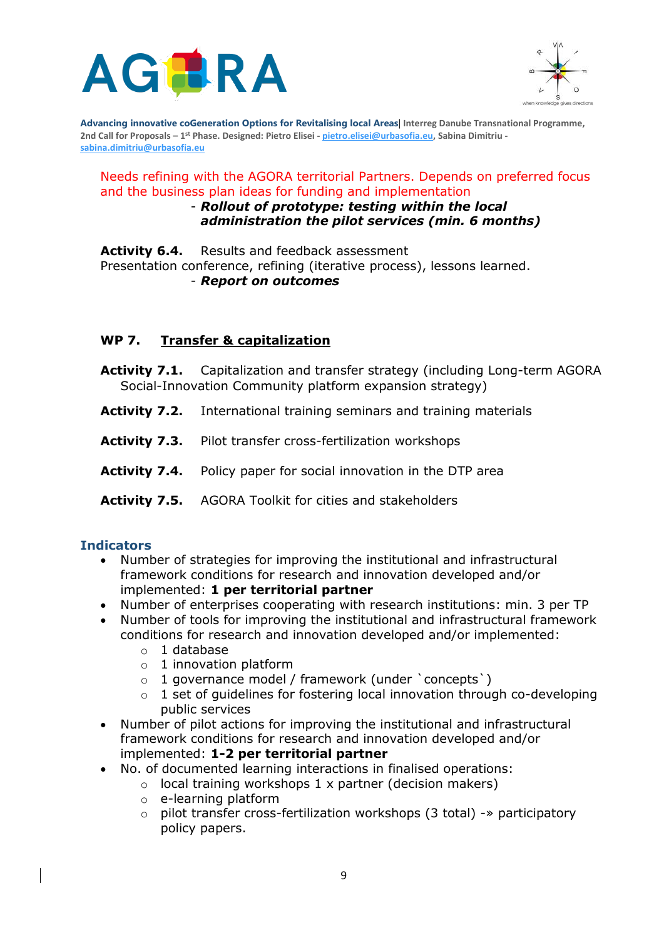



Needs refining with the AGORA territorial Partners. Depends on preferred focus and the business plan ideas for funding and implementation - *Rollout of prototype: testing within the local administration the pilot services (min. 6 months)*

Activity 6.4. Results and feedback assessment Presentation conference, refining (iterative process), lessons learned. - *Report on outcomes* 

## **WP 7. Transfer & capitalization**

Activity 7.1. Capitalization and transfer strategy (including Long-term AGORA Social-Innovation Community platform expansion strategy)

- **Activity 7.2.** International training seminars and training materials
- **Activity 7.3.** Pilot transfer cross-fertilization workshops
- **Activity 7.4.** Policy paper for social innovation in the DTP area
- **Activity 7.5.** AGORA Toolkit for cities and stakeholders

## **Indicators**

- Number of strategies for improving the institutional and infrastructural framework conditions for research and innovation developed and/or implemented: **1 per territorial partner**
- Number of enterprises cooperating with research institutions: min. 3 per TP
- Number of tools for improving the institutional and infrastructural framework conditions for research and innovation developed and/or implemented:
	- o 1 database
	- $\circ$  1 innovation platform
	- o 1 governance model / framework (under `concepts`)
	- $\circ$  1 set of guidelines for fostering local innovation through co-developing public services
- Number of pilot actions for improving the institutional and infrastructural framework conditions for research and innovation developed and/or implemented: **1-2 per territorial partner**
- No. of documented learning interactions in finalised operations:
	- $\circ$  local training workshops 1 x partner (decision makers)
	- o e-learning platform
	- o pilot transfer cross-fertilization workshops (3 total) -» participatory policy papers.